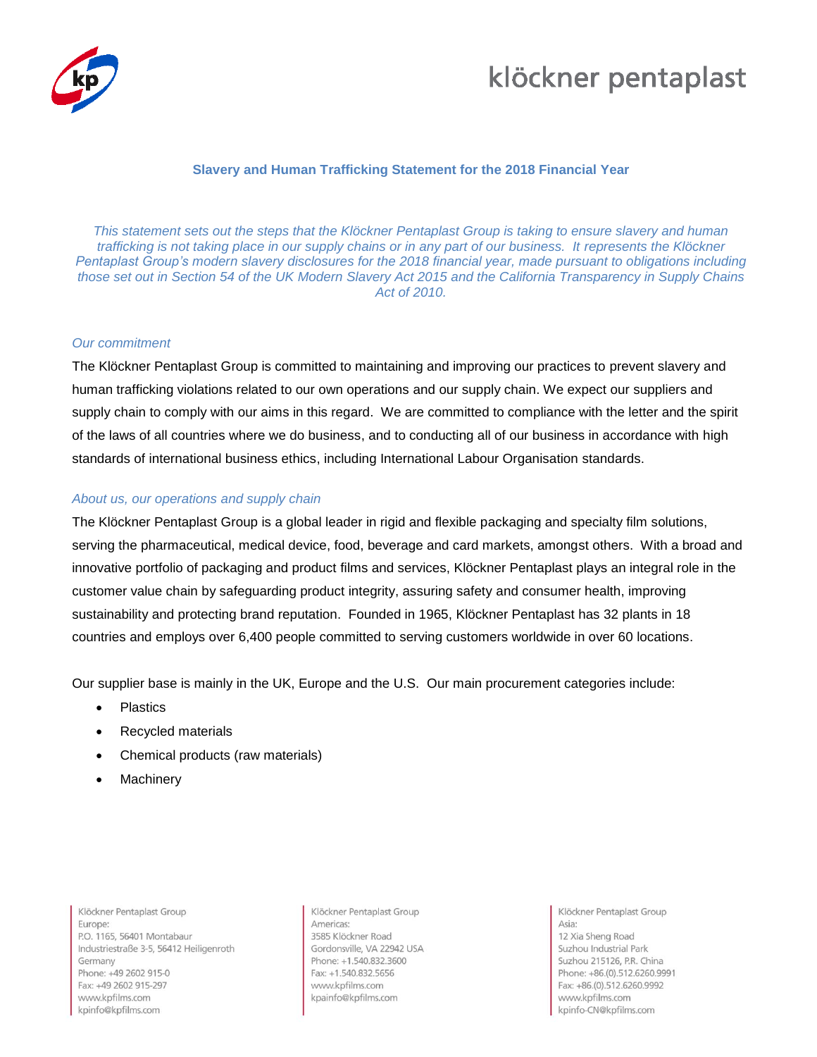

## klöckner pentaplast

### **Slavery and Human Trafficking Statement for the 2018 Financial Year**

*This statement sets out the steps that the Klöckner Pentaplast Group is taking to ensure slavery and human trafficking is not taking place in our supply chains or in any part of our business. It represents the Klöckner Pentaplast Group's modern slavery disclosures for the 2018 financial year, made pursuant to obligations including those set out in Section 54 of the UK Modern Slavery Act 2015 and the California Transparency in Supply Chains Act of 2010.*

#### *Our commitment*

The Klöckner Pentaplast Group is committed to maintaining and improving our practices to prevent slavery and human trafficking violations related to our own operations and our supply chain. We expect our suppliers and supply chain to comply with our aims in this regard. We are committed to compliance with the letter and the spirit of the laws of all countries where we do business, and to conducting all of our business in accordance with high standards of international business ethics, including International Labour Organisation standards.

### *About us, our operations and supply chain*

The Klöckner Pentaplast Group is a global leader in rigid and flexible packaging and specialty film solutions, serving the pharmaceutical, medical device, food, beverage and card markets, amongst others. With a broad and innovative portfolio of packaging and product films and services, Klöckner Pentaplast plays an integral role in the customer value chain by safeguarding product integrity, assuring safety and consumer health, improving sustainability and protecting brand reputation. Founded in 1965, Klöckner Pentaplast has 32 plants in 18 countries and employs over 6,400 people committed to serving customers worldwide in over 60 locations.

Our supplier base is mainly in the UK, Europe and the U.S. Our main procurement categories include:

- Plastics
- Recycled materials
- Chemical products (raw materials)
- **Machinery**

Klöckner Pentaplast Group Furone: P.O. 1165, 56401 Montabaur Industriestraße 3-5, 56412 Heiligenroth Germany Phone: +49 2602 915-0 Fax: +49 2602 915-297 www.kpfilms.com kpinfo@kpfilms.com

Klöckner Pentaplast Group Americas<sup>®</sup> 3585 Klöckner Road Gordonsville, VA 22942 USA Phone: +1.540.832.3600 Fax: +1.540.832.5656 www.kpfilms.com kpainfo@kpfilms.com

Klöckner Pentaplast Group Asia:

12 Xia Sheng Road Suzhou Industrial Park Suzhou 215126, P.R. China Phone: +86.(0).512.6260.9991 Fax: +86.(0).512.6260.9992 www.kpfilms.com kpinfo-CN@kpfilms.com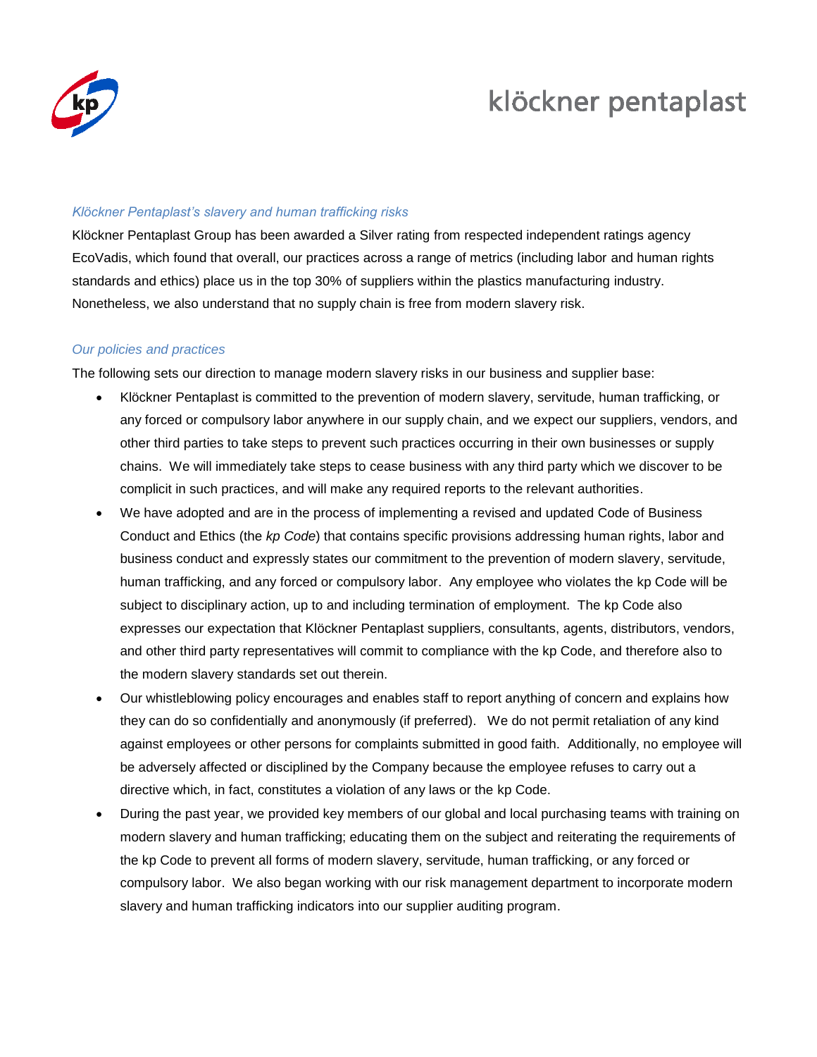

## klöckner pentaplast

#### *Klöckner Pentaplast's slavery and human trafficking risks*

Klöckner Pentaplast Group has been awarded a Silver rating from respected independent ratings agency EcoVadis, which found that overall, our practices across a range of metrics (including labor and human rights standards and ethics) place us in the top 30% of suppliers within the plastics manufacturing industry. Nonetheless, we also understand that no supply chain is free from modern slavery risk.

## *Our policies and practices*

The following sets our direction to manage modern slavery risks in our business and supplier base:

- Klöckner Pentaplast is committed to the prevention of modern slavery, servitude, human trafficking, or any forced or compulsory labor anywhere in our supply chain, and we expect our suppliers, vendors, and other third parties to take steps to prevent such practices occurring in their own businesses or supply chains. We will immediately take steps to cease business with any third party which we discover to be complicit in such practices, and will make any required reports to the relevant authorities.
- We have adopted and are in the process of implementing a revised and updated Code of Business Conduct and Ethics (the *kp Code*) that contains specific provisions addressing human rights, labor and business conduct and expressly states our commitment to the prevention of modern slavery, servitude, human trafficking, and any forced or compulsory labor. Any employee who violates the kp Code will be subject to disciplinary action, up to and including termination of employment. The kp Code also expresses our expectation that Klöckner Pentaplast suppliers, consultants, agents, distributors, vendors, and other third party representatives will commit to compliance with the kp Code, and therefore also to the modern slavery standards set out therein.
- Our whistleblowing policy encourages and enables staff to report anything of concern and explains how they can do so confidentially and anonymously (if preferred). We do not permit retaliation of any kind against employees or other persons for complaints submitted in good faith. Additionally, no employee will be adversely affected or disciplined by the Company because the employee refuses to carry out a directive which, in fact, constitutes a violation of any laws or the kp Code.
- During the past year, we provided key members of our global and local purchasing teams with training on modern slavery and human trafficking; educating them on the subject and reiterating the requirements of the kp Code to prevent all forms of modern slavery, servitude, human trafficking, or any forced or compulsory labor. We also began working with our risk management department to incorporate modern slavery and human trafficking indicators into our supplier auditing program.